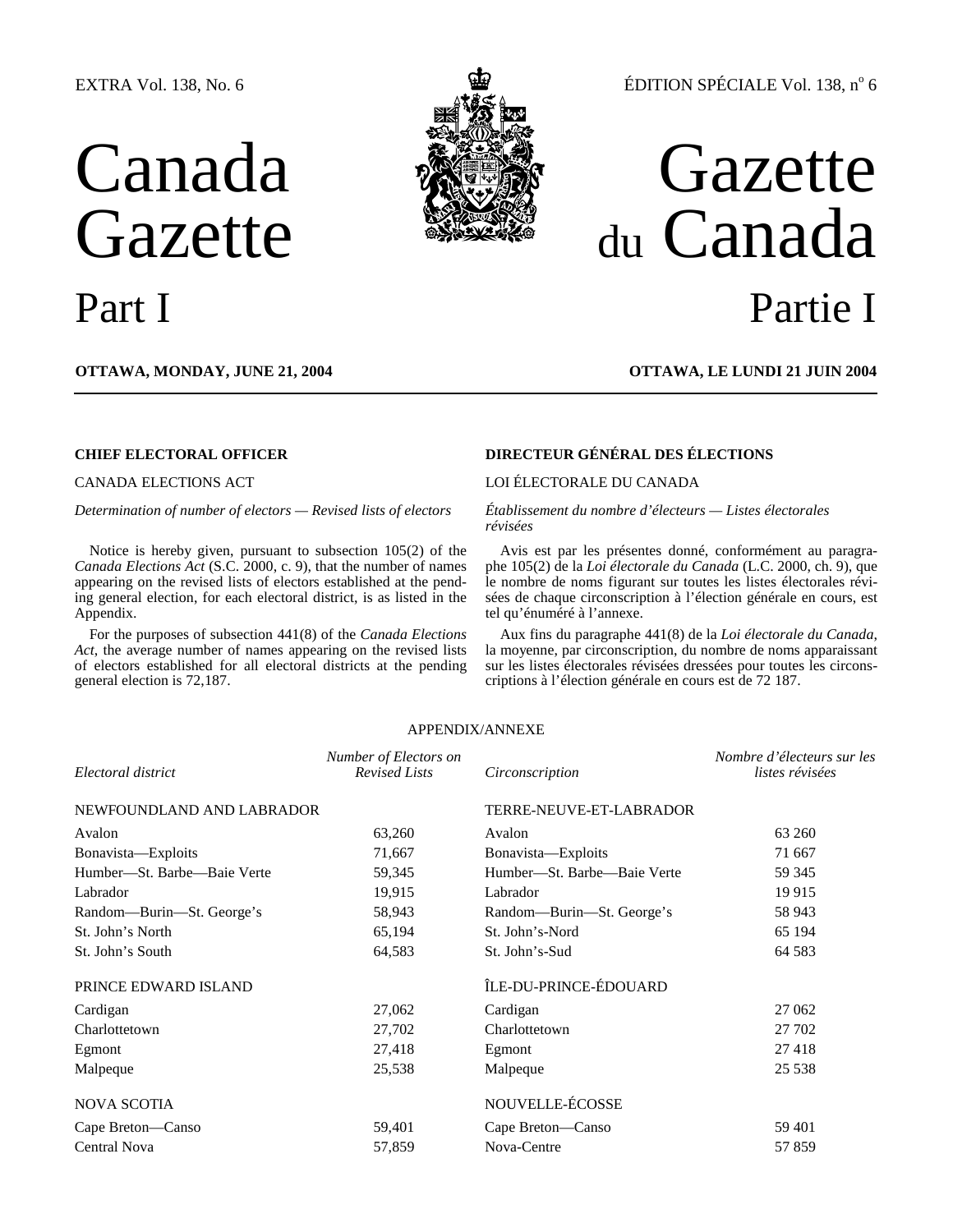## EXTRA Vol. 138, No. 6

# Canada Gazette



## ÉDITION SPÉCIALE Vol. 138, n° 6

## Gazette du Canada Part I Partie I

**OTTAWA, MONDAY, JUNE 21, 2004 OTTAWA, LE LUNDI 21 JUIN 2004**

Notice is hereby given, pursuant to subsection 105(2) of the *Canada Elections Act* (S.C. 2000, c. 9), that the number of names appearing on the revised lists of electors established at the pending general election, for each electoral district, is as listed in the Appendix.

For the purposes of subsection 441(8) of the *Canada Elections Act*, the average number of names appearing on the revised lists of electors established for all electoral districts at the pending general election is 72,187.

## **CHIEF ELECTORAL OFFICER DIRECTEUR GÉNÉRAL DES ÉLECTIONS**

## CANADA ELECTIONS ACT LOI ÉLECTORALE DU CANADA

*Determination of number of electors — Revised lists of electors Établissement du nombre d'électeurs — Listes électorales révisées* 

> Avis est par les présentes donné, conformément au paragraphe 105(2) de la *Loi électorale du Canada* (L.C. 2000, ch. 9), que le nombre de noms figurant sur toutes les listes électorales révisées de chaque circonscription à l'élection générale en cours, est tel qu'énuméré à l'annexe.

> Aux fins du paragraphe 441(8) de la *Loi électorale du Canada*, la moyenne, par circonscription, du nombre de noms apparaissant sur les listes électorales révisées dressées pour toutes les circonscriptions à l'élection générale en cours est de 72 187.

### APPENDIX/ANNEXE

| Electoral district          | Number of Electors on<br><b>Revised Lists</b> | Circonscription             | Nombre d'électeurs sur les<br>listes révisées |
|-----------------------------|-----------------------------------------------|-----------------------------|-----------------------------------------------|
| NEWFOUNDLAND AND LABRADOR   |                                               | TERRE-NEUVE-ET-LABRADOR     |                                               |
| Avalon                      | 63,260                                        | Avalon                      | 63 260                                        |
| Bonavista—Exploits          | 71,667                                        | Bonavista-Exploits          | 71 667                                        |
| Humber-St. Barbe-Baie Verte | 59,345                                        | Humber-St. Barbe-Baie Verte | 59 345                                        |
| Labrador                    | 19,915                                        | Labrador                    | 19915                                         |
| Random—Burin—St. George's   | 58,943                                        | Random—Burin—St. George's   | 58 943                                        |
| St. John's North            | 65,194                                        | St. John's-Nord             | 65 194                                        |
| St. John's South            | 64,583                                        | St. John's-Sud              | 64 5 8 3                                      |
| PRINCE EDWARD ISLAND        |                                               | ÎLE-DU-PRINCE-ÉDOUARD       |                                               |
| Cardigan                    | 27,062                                        | Cardigan                    | 27 062                                        |
| Charlottetown               | 27,702                                        | Charlottetown               | 27 702                                        |
| Egmont                      | 27,418                                        | Egmont                      | 27418                                         |
| Malpeque                    | 25,538                                        | Malpeque                    | 25 5 38                                       |
| <b>NOVA SCOTIA</b>          |                                               | NOUVELLE-ÉCOSSE             |                                               |
| Cape Breton-Canso           | 59,401                                        | Cape Breton-Canso           | 59 401                                        |
| <b>Central Nova</b>         | 57,859                                        | Nova-Centre                 | 57859                                         |
|                             |                                               |                             |                                               |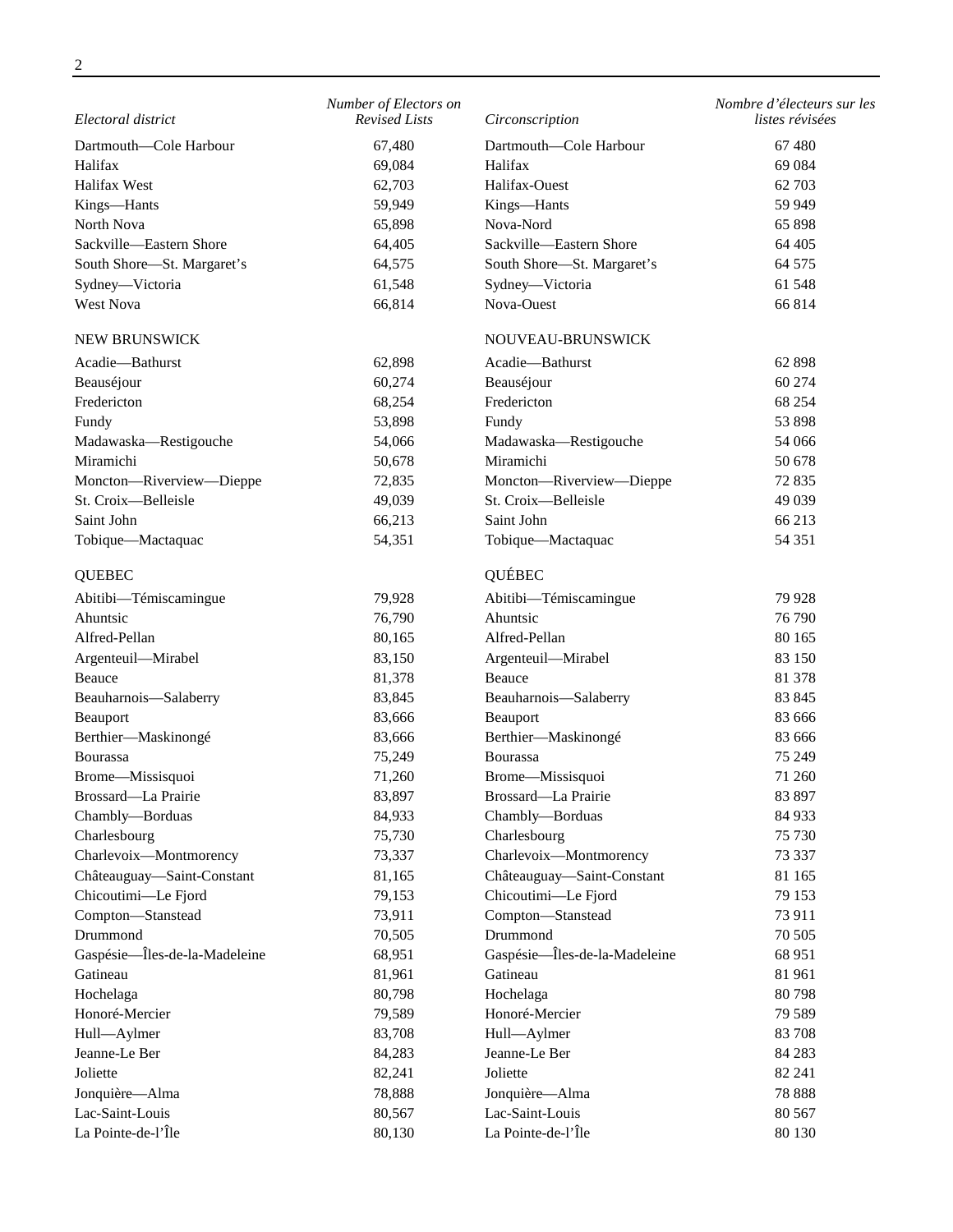| Electoral district            | Number of Electors on<br><b>Revised Lists</b> | Circonscription                 | Nombre d'électeurs sur les<br>listes révisées |
|-------------------------------|-----------------------------------------------|---------------------------------|-----------------------------------------------|
|                               |                                               |                                 |                                               |
| Dartmouth-Cole Harbour        | 67,480                                        | Dartmouth-Cole Harbour          | 67480                                         |
| Halifax                       | 69,084                                        | Halifax                         | 69 0 84                                       |
| Halifax West                  | 62,703                                        | Halifax-Ouest                   | 62 703                                        |
| Kings-Hants                   | 59,949                                        | Kings-Hants                     | 59 949                                        |
| North Nova                    | 65,898                                        | Nova-Nord                       | 65 898                                        |
| Sackville-Eastern Shore       | 64,405                                        | Sackville-Eastern Shore         | 64 405                                        |
| South Shore-St. Margaret's    | 64,575                                        | South Shore-St. Margaret's      | 64 575                                        |
| Sydney-Victoria               | 61,548                                        | Sydney-Victoria                 | 61 548                                        |
| West Nova                     | 66,814                                        | Nova-Ouest                      | 66 814                                        |
| NEW BRUNSWICK                 |                                               | NOUVEAU-BRUNSWICK               |                                               |
| Acadie-Bathurst               | 62,898                                        | Acadie-Bathurst                 | 62 898                                        |
| Beauséjour                    | 60,274                                        | Beauséjour                      | 60 274                                        |
| Fredericton                   | 68,254                                        | Fredericton                     | 68 254                                        |
| Fundy                         | 53,898                                        | Fundy                           | 53 898                                        |
| Madawaska-Restigouche         | 54,066                                        | Madawaska-Restigouche           | 54 066                                        |
| Miramichi                     | 50,678                                        | Miramichi                       | 50 678                                        |
| Moncton-Riverview-Dieppe      | 72,835                                        | Moncton-Riverview-Dieppe        | 72 835                                        |
| St. Croix-Belleisle           | 49,039                                        | St. Croix-Belleisle             | 49 0 39                                       |
| Saint John                    | 66,213                                        | Saint John                      | 66 213                                        |
| Tobique-Mactaquac             | 54,351                                        | Tobique-Mactaquac               | 54 351                                        |
| <b>QUEBEC</b>                 |                                               | QUÉBEC                          |                                               |
| Abitibi-Témiscamingue         | 79,928                                        | Abitibi-Témiscamingue           | 79 928                                        |
| Ahuntsic                      | 76,790                                        | Ahuntsic                        | 76 790                                        |
| Alfred-Pellan                 | 80,165                                        | Alfred-Pellan                   | 80 165                                        |
| Argenteuil-Mirabel            | 83,150                                        | Argenteuil-Mirabel              | 83 150                                        |
| Beauce                        | 81,378                                        | Beauce                          | 81 378                                        |
| Beauharnois-Salaberry         | 83,845                                        | Beauharnois-Salaberry           | 83 845                                        |
| Beauport                      | 83,666                                        | Beauport                        | 83 666                                        |
| Berthier-Maskinongé           | 83,666                                        | Berthier-Maskinongé             | 83 666                                        |
| Bourassa                      | 75,249                                        | <b>Bourassa</b>                 | 75 249                                        |
| Brome-Missisquoi              | 71,260                                        | Brome-Missisquoi                | 71 260                                        |
| Brossard-La Prairie           | 83,897                                        | Brossard-La Prairie             | 83 897                                        |
|                               | 84,933                                        |                                 | 84 933                                        |
| Chambly-Borduas               |                                               | Chambly-Borduas<br>Charlesbourg |                                               |
| Charlesbourg                  | 75,730                                        | Charlevoix-Montmorency          | 75 730                                        |
| Charlevoix-Montmorency        | 73,337                                        |                                 | 73 337                                        |
| Châteauguay-Saint-Constant    | 81,165                                        | Châteauguay-Saint-Constant      | 81 165                                        |
| Chicoutimi-Le Fjord           | 79,153                                        | Chicoutimi-Le Fjord             | 79 153                                        |
| Compton-Stanstead             | 73,911                                        | Compton-Stanstead               | 73 911                                        |
| Drummond                      | 70,505                                        | Drummond                        | 70 50 5                                       |
| Gaspésie-Îles-de-la-Madeleine | 68,951                                        | Gaspésie-Îles-de-la-Madeleine   | 68 951                                        |
| Gatineau                      | 81,961                                        | Gatineau                        | 81 961                                        |
| Hochelaga                     | 80,798                                        | Hochelaga                       | 80798                                         |
| Honoré-Mercier                | 79,589                                        | Honoré-Mercier                  | 79 589                                        |
| Hull-Aylmer                   | 83,708                                        | Hull-Aylmer                     | 83 708                                        |
| Jeanne-Le Ber                 | 84,283                                        | Jeanne-Le Ber                   | 84 283                                        |
| Joliette                      | 82,241                                        | Joliette                        | 82 241                                        |
| Jonquière-Alma                | 78,888                                        | Jonquière-Alma                  | 78 888                                        |
| Lac-Saint-Louis               | 80,567                                        | Lac-Saint-Louis                 | 80 567                                        |
| La Pointe-de-l'Île            | 80,130                                        | La Pointe-de-l'Île              | 80 130                                        |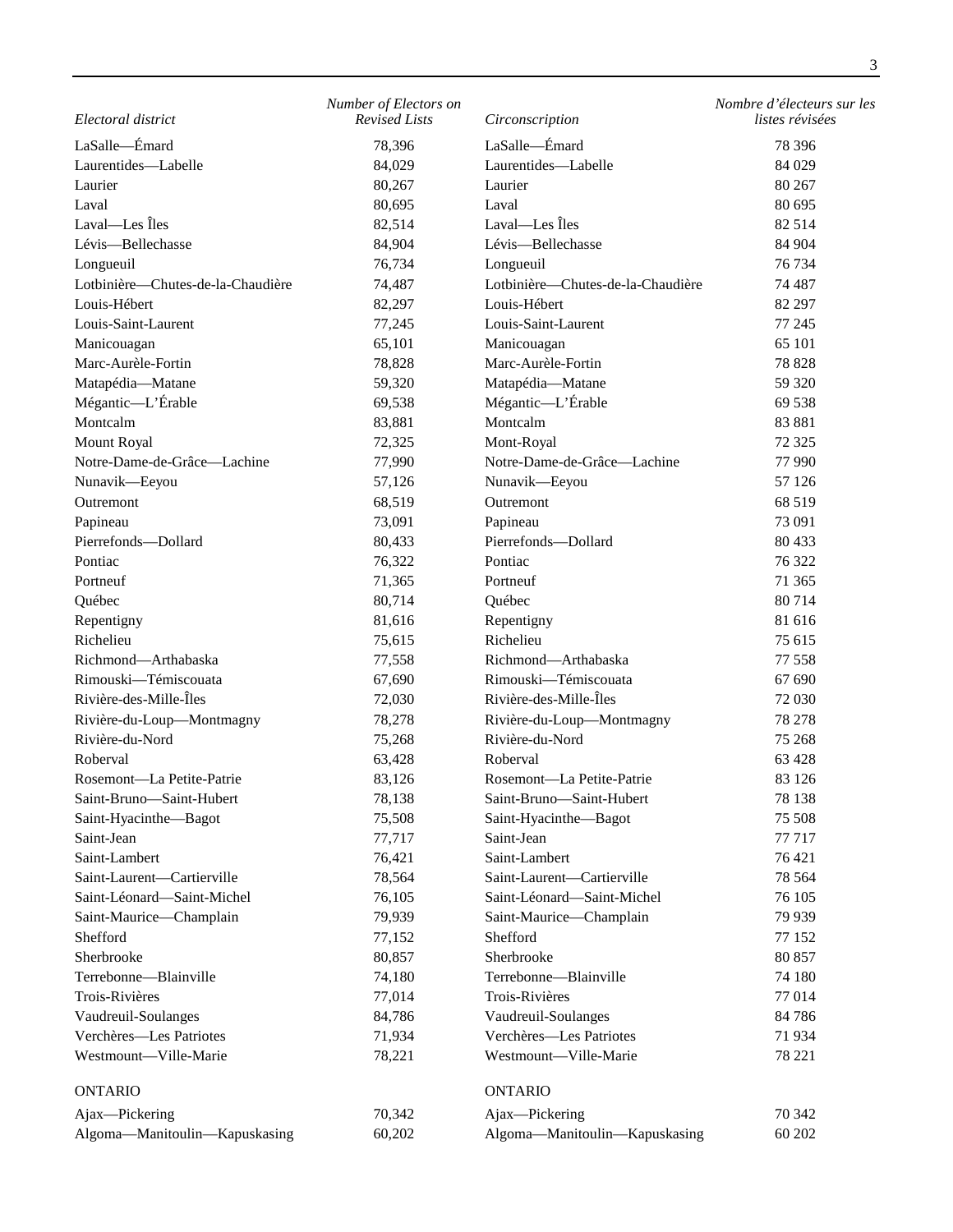| Electoral district                | Number of Electors on<br><b>Revised Lists</b> | Circonscription                   | Nombre d'électeurs sur les<br>listes révisées |
|-----------------------------------|-----------------------------------------------|-----------------------------------|-----------------------------------------------|
| LaSalle-Emard                     | 78,396                                        | LaSalle-Emard                     | 78 39 6                                       |
| Laurentides-Labelle               | 84,029                                        | Laurentides-Labelle               | 84 0 29                                       |
| Laurier                           | 80,267                                        | Laurier                           | 80 267                                        |
| Laval                             | 80,695                                        | Laval                             | 80 695                                        |
| Laval-Les Îles                    | 82,514                                        | Laval-Les Îles                    | 82 5 14                                       |
| Lévis-Bellechasse                 | 84,904                                        | Lévis-Bellechasse                 | 84 904                                        |
| Longueuil                         | 76,734                                        | Longueuil                         | 76 734                                        |
| Lotbinière-Chutes-de-la-Chaudière | 74,487                                        | Lotbinière-Chutes-de-la-Chaudière | 74 487                                        |
| Louis-Hébert                      | 82,297                                        | Louis-Hébert                      | 82 297                                        |
| Louis-Saint-Laurent               | 77,245                                        | Louis-Saint-Laurent               | 77 245                                        |
| Manicouagan                       | 65,101                                        | Manicouagan                       | 65 101                                        |
| Marc-Aurèle-Fortin                | 78,828                                        | Marc-Aurèle-Fortin                | 78 828                                        |
| Matapédia-Matane                  | 59,320                                        | Matapédia-Matane                  | 59 320                                        |
| Mégantic-L'Érable                 | 69,538                                        | Mégantic-L'Érable                 | 69 538                                        |
| Montcalm                          | 83,881                                        | Montcalm                          | 83 881                                        |
| Mount Royal                       | 72,325                                        | Mont-Royal                        | 72 3 25                                       |
| Notre-Dame-de-Grâce-Lachine       | 77,990                                        | Notre-Dame-de-Grâce-Lachine       | 77 990                                        |
| Nunavik-Eeyou                     | 57,126                                        | Nunavik-Eeyou                     | 57 126                                        |
| Outremont                         | 68,519                                        | Outremont                         | 68 519                                        |
| Papineau                          | 73,091                                        | Papineau                          | 73 091                                        |
| Pierrefonds-Dollard               | 80,433                                        | Pierrefonds-Dollard               | 80 433                                        |
| Pontiac                           | 76,322                                        | Pontiac                           | 76 322                                        |
| Portneuf                          | 71,365                                        | Portneuf                          | 71 365                                        |
| Québec                            | 80,714                                        | Québec                            | 80 714                                        |
| Repentigny                        | 81,616                                        | Repentigny                        | 81 616                                        |
| Richelieu                         | 75,615                                        | Richelieu                         | 75 615                                        |
| Richmond-Arthabaska               | 77,558                                        | Richmond-Arthabaska               | 77 558                                        |
| Rimouski-Témiscouata              | 67,690                                        | Rimouski-Témiscouata              | 67 690                                        |
| Rivière-des-Mille-Îles            | 72,030                                        | Rivière-des-Mille-Îles            | 72 030                                        |
| Rivière-du-Loup-Montmagny         | 78,278                                        | Rivière-du-Loup-Montmagny         | 78 278                                        |
| Rivière-du-Nord                   | 75,268                                        | Rivière-du-Nord                   | 75 268                                        |
| Roberval                          | 63,428                                        | Roberval                          | 63 4 28                                       |
| Rosemont-La Petite-Patrie         | 83,126                                        | Rosemont—La Petite-Patrie         | 83 126                                        |
| Saint-Bruno-Saint-Hubert          | 78,138                                        | Saint-Bruno-Saint-Hubert          | 78 138                                        |
| Saint-Hyacinthe-Bagot             | 75,508                                        | Saint-Hyacinthe-Bagot             | 75 508                                        |
| Saint-Jean                        | 77,717                                        | Saint-Jean                        | 77 717                                        |
| Saint-Lambert                     | 76,421                                        | Saint-Lambert                     | 76 421                                        |
| Saint-Laurent-Cartierville        | 78,564                                        | Saint-Laurent-Cartierville        | 78 5 64                                       |
| Saint-Léonard-Saint-Michel        | 76,105                                        | Saint-Léonard-Saint-Michel        | 76 105                                        |
| Saint-Maurice-Champlain           | 79,939                                        | Saint-Maurice-Champlain           | 79 939                                        |
| Shefford                          | 77,152                                        | Shefford                          | 77 152                                        |
| Sherbrooke                        | 80,857                                        | Sherbrooke                        | 80 857                                        |
| Terrebonne-Blainville             | 74,180                                        | Terrebonne-Blainville             | 74 180                                        |
| Trois-Rivières                    | 77,014                                        | Trois-Rivières                    | 77014                                         |
| Vaudreuil-Soulanges               | 84,786                                        | Vaudreuil-Soulanges               | 84786                                         |
| Verchères-Les Patriotes           | 71,934                                        | Verchères-Les Patriotes           | 71934                                         |
| Westmount-Ville-Marie             | 78,221                                        | Westmount-Ville-Marie             | 78 221                                        |
|                                   |                                               |                                   |                                               |
| <b>ONTARIO</b>                    |                                               | <b>ONTARIO</b>                    |                                               |
| Ajax-Pickering                    | 70,342                                        | Ajax-Pickering                    | 70 342                                        |
| Algoma-Manitoulin-Kapuskasing     | 60,202                                        | Algoma-Manitoulin-Kapuskasing     | 60 202                                        |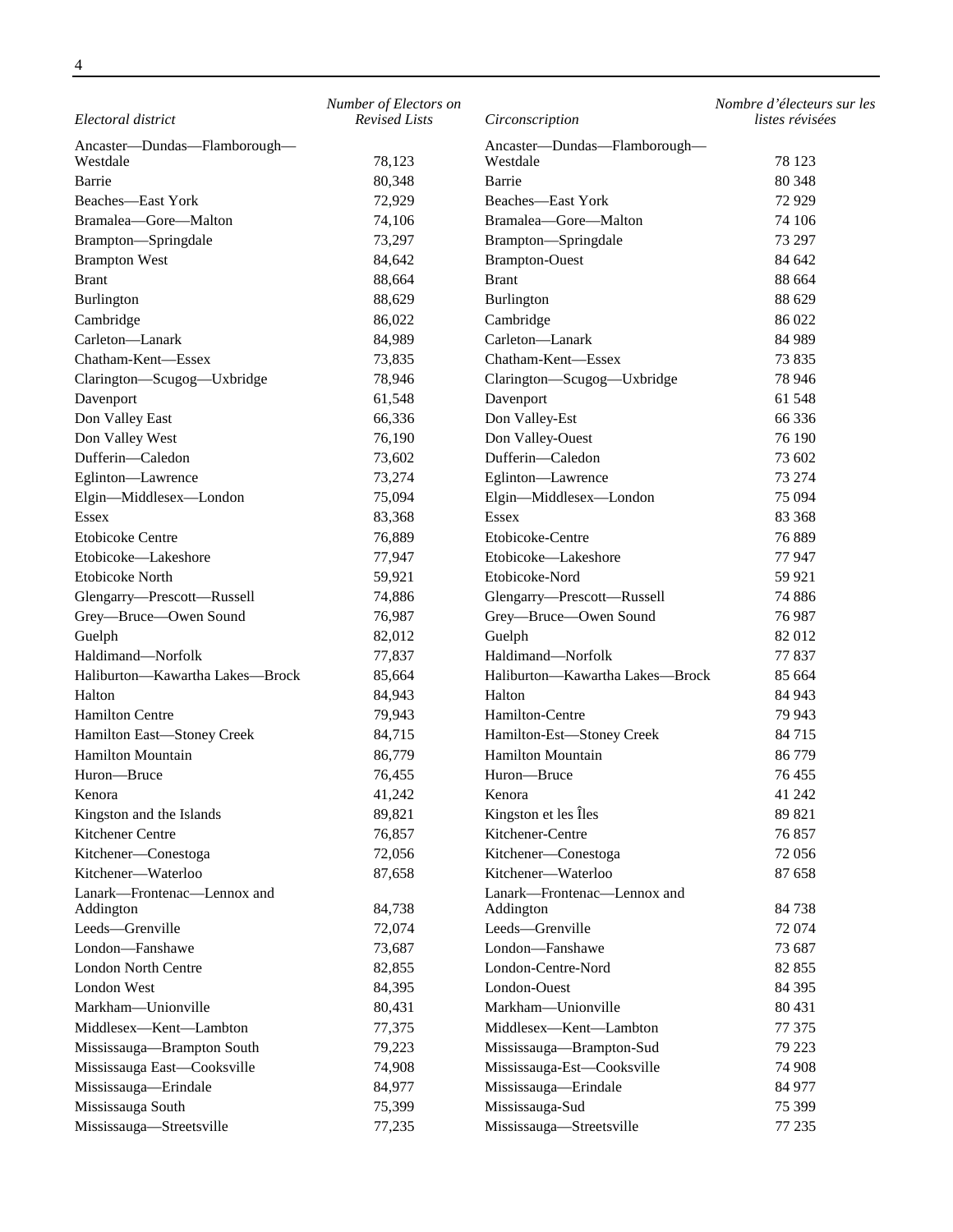|                                          | Number of Electors on |                                          | Nombre d'électeurs sur les |
|------------------------------------------|-----------------------|------------------------------------------|----------------------------|
| Electoral district                       | <b>Revised Lists</b>  | Circonscription                          | listes révisées            |
| Ancaster-Dundas-Flamborough-<br>Westdale | 78,123                | Ancaster-Dundas-Flamborough-<br>Westdale | 78 123                     |
| Barrie                                   | 80,348                | Barrie                                   | 80 348                     |
| Beaches-East York                        | 72,929                | Beaches-East York                        | 72929                      |
| Bramalea-Gore-Malton                     | 74,106                | Bramalea-Gore-Malton                     | 74 106                     |
| Brampton-Springdale                      | 73,297                | Brampton-Springdale                      | 73 297                     |
| <b>Brampton West</b>                     | 84,642                | <b>Brampton-Ouest</b>                    | 84 642                     |
| <b>Brant</b>                             | 88,664                | <b>Brant</b>                             | 88 664                     |
| <b>Burlington</b>                        | 88,629                | Burlington                               | 88 629                     |
| Cambridge                                | 86,022                | Cambridge                                | 86 022                     |
| Carleton-Lanark                          | 84,989                | Carleton-Lanark                          | 84 989                     |
| Chatham-Kent-Essex                       |                       | Chatham-Kent-Essex                       | 73 835                     |
| Clarington-Scugog-Uxbridge               | 73,835                | Clarington-Scugog-Uxbridge               | 78 946                     |
|                                          | 78,946                |                                          | 61 548                     |
| Davenport                                | 61,548                | Davenport                                |                            |
| Don Valley East                          | 66,336                | Don Valley-Est                           | 66 336                     |
| Don Valley West                          | 76,190                | Don Valley-Ouest                         | 76 190                     |
| Dufferin-Caledon                         | 73,602                | Dufferin-Caledon                         | 73 602                     |
| Eglinton-Lawrence                        | 73,274                | Eglinton-Lawrence                        | 73 274                     |
| Elgin-Middlesex-London                   | 75,094                | Elgin-Middlesex-London                   | 75 094                     |
| Essex                                    | 83,368                | Essex                                    | 83 368                     |
| <b>Etobicoke Centre</b>                  | 76,889                | Etobicoke-Centre                         | 76889                      |
| Etobicoke-Lakeshore                      | 77,947                | Etobicoke-Lakeshore                      | 77947                      |
| Etobicoke North                          | 59,921                | Etobicoke-Nord                           | 59 921                     |
| Glengarry-Prescott-Russell               | 74,886                | Glengarry-Prescott-Russell               | 74 886                     |
| Grey-Bruce-Owen Sound                    | 76,987                | Grey-Bruce-Owen Sound                    | 76 987                     |
| Guelph                                   | 82,012                | Guelph                                   | 82 012                     |
| Haldimand-Norfolk                        | 77,837                | Haldimand-Norfolk                        | 77 837                     |
| Haliburton-Kawartha Lakes-Brock          | 85,664                | Haliburton-Kawartha Lakes-Brock          | 85 664                     |
| Halton                                   | 84,943                | Halton                                   | 84 943                     |
| <b>Hamilton Centre</b>                   | 79,943                | Hamilton-Centre                          | 79 943                     |
| Hamilton East-Stoney Creek               | 84,715                | Hamilton-Est-Stoney Creek                | 84 715                     |
| <b>Hamilton Mountain</b>                 | 86,779                | Hamilton Mountain                        | 86 779                     |
| Huron-Bruce                              | 76,455                | Huron-Bruce                              | 76 455                     |
| Kenora                                   | 41,242                | Kenora                                   | 41 242                     |
| Kingston and the Islands                 | 89,821                | Kingston et les Îles                     | 89 821                     |
| Kitchener Centre                         | 76,857                | Kitchener-Centre                         | 76 857                     |
| Kitchener-Conestoga                      | 72,056                | Kitchener-Conestoga                      | 72 056                     |
| Kitchener-Waterloo                       | 87,658                | Kitchener-Waterloo                       | 87 658                     |
| Lanark-Frontenac-Lennox and              |                       | Lanark-Frontenac-Lennox and              |                            |
| Addington                                | 84,738                | Addington                                | 84738                      |
| Leeds-Grenville                          | 72,074                | Leeds-Grenville<br>London-Fanshawe       | 72 074                     |
| London-Fanshawe                          | 73,687                |                                          | 73 687                     |
| London North Centre                      | 82,855                | London-Centre-Nord                       | 82 855                     |
| London West                              | 84,395                | London-Ouest                             | 84 395                     |
| Markham-Unionville                       | 80,431                | Markham-Unionville                       | 80 431                     |
| Middlesex-Kent-Lambton                   | 77,375                | Middlesex-Kent-Lambton                   | 77 375                     |
| Mississauga-Brampton South               | 79,223                | Mississauga-Brampton-Sud                 | 79 223                     |
| Mississauga East-Cooksville              | 74,908                | Mississauga-Est-Cooksville               | 74 908                     |
| Mississauga-Erindale                     | 84,977                | Mississauga-Erindale                     | 84 977                     |
| Mississauga South                        | 75,399                | Mississauga-Sud                          | 75 399                     |
| Mississauga-Streetsville                 | 77,235                | Mississauga-Streetsville                 | 77 235                     |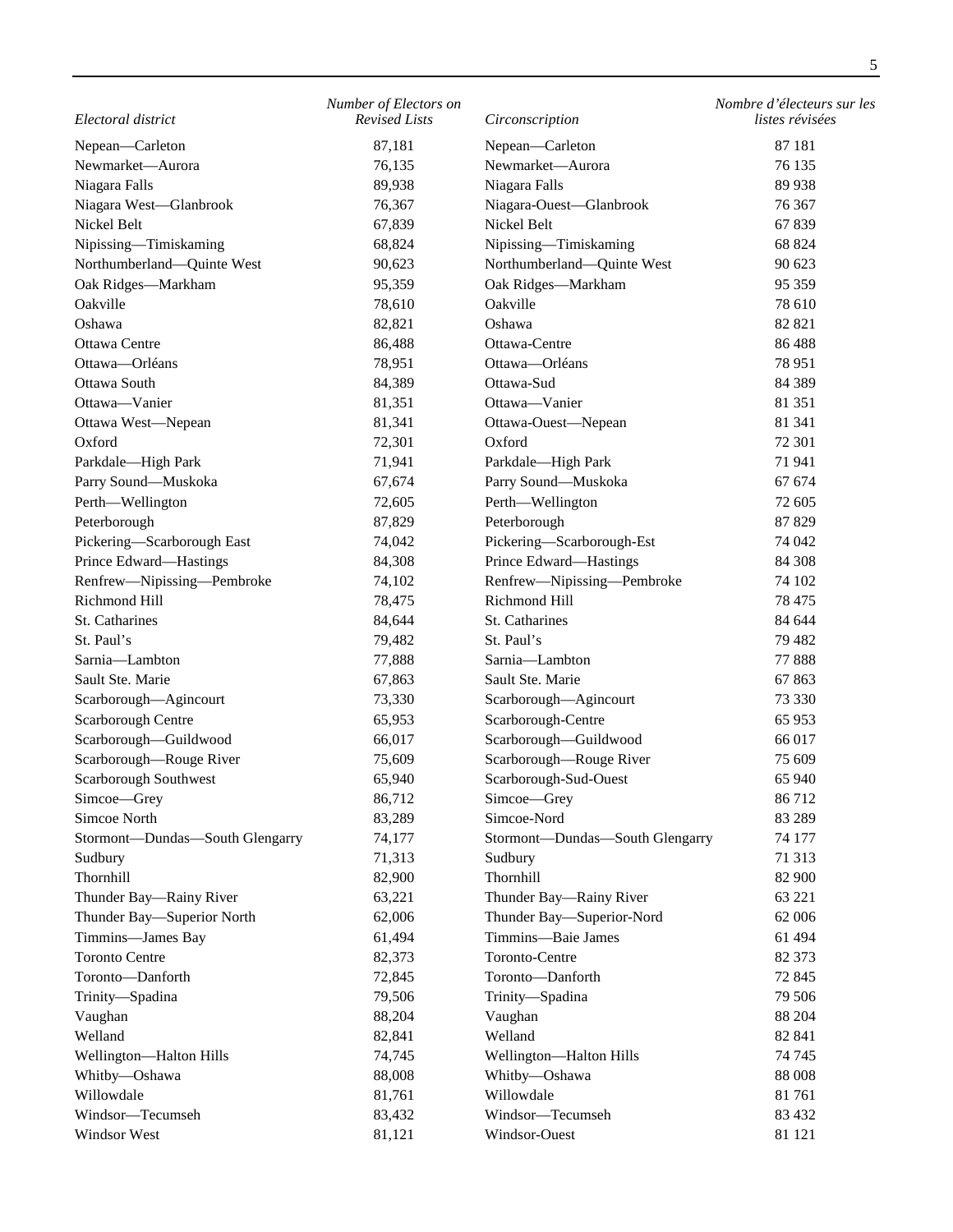| Electoral district                       | Number of Electors on<br><b>Revised Lists</b> | Circonscription                          | Nombre d'électeurs sur les<br>listes révisées |
|------------------------------------------|-----------------------------------------------|------------------------------------------|-----------------------------------------------|
|                                          |                                               |                                          |                                               |
| Nepean-Carleton                          | 87,181                                        | Nepean-Carleton                          | 87 181                                        |
| Newmarket-Aurora                         | 76,135                                        | Newmarket-Aurora                         | 76 135                                        |
| Niagara Falls                            | 89,938                                        | Niagara Falls                            | 89 938                                        |
| Niagara West-Glanbrook                   | 76,367                                        | Niagara-Ouest-Glanbrook                  | 76 367                                        |
| Nickel Belt                              | 67,839                                        | Nickel Belt                              | 67839                                         |
| Nipissing-Timiskaming                    | 68,824                                        | Nipissing-Timiskaming                    | 68 824                                        |
| Northumberland-Quinte West               | 90,623                                        | Northumberland-Quinte West               | 90 623                                        |
| Oak Ridges-Markham                       | 95,359                                        | Oak Ridges-Markham                       | 95 35 9                                       |
| Oakville                                 | 78,610                                        | Oakville                                 | 78 610                                        |
| Oshawa                                   | 82,821                                        | Oshawa                                   | 82 821                                        |
| Ottawa Centre                            | 86,488                                        | Ottawa-Centre                            | 86488                                         |
| Ottawa-Orléans                           | 78,951                                        | Ottawa-Orléans                           | 78 951                                        |
| Ottawa South                             | 84,389                                        | Ottawa-Sud                               | 84 3 89                                       |
| Ottawa-Vanier                            | 81,351                                        | Ottawa-Vanier                            | 81 351                                        |
| Ottawa West-Nepean                       | 81,341                                        | Ottawa-Ouest-Nepean                      | 81 341                                        |
| Oxford                                   | 72,301                                        | Oxford                                   | 72 301                                        |
| Parkdale-High Park                       | 71,941                                        | Parkdale-High Park                       | 71941                                         |
| Parry Sound-Muskoka                      | 67,674                                        | Parry Sound-Muskoka                      | 67 674                                        |
| Perth—Wellington                         | 72,605                                        | Perth-Wellington                         | 72 605                                        |
| Peterborough                             | 87,829                                        | Peterborough                             | 87 829                                        |
| Pickering-Scarborough East               | 74,042                                        | Pickering-Scarborough-Est                | 74 042                                        |
| Prince Edward-Hastings                   | 84,308                                        | Prince Edward-Hastings                   | 84 30 8                                       |
| Renfrew-Nipissing-Pembroke               | 74,102                                        | Renfrew-Nipissing-Pembroke               | 74 102                                        |
| Richmond Hill                            | 78,475                                        | Richmond Hill                            | 78 475                                        |
| St. Catharines                           | 84,644                                        | St. Catharines                           | 84 644                                        |
| St. Paul's                               | 79,482                                        | St. Paul's                               | 79 482                                        |
| Sarnia-Lambton                           | 77,888                                        | Sarnia-Lambton                           | 77888                                         |
| Sault Ste. Marie                         | 67,863                                        | Sault Ste. Marie                         | 67863                                         |
| Scarborough-Agincourt                    | 73,330                                        | Scarborough-Agincourt                    | 73 330                                        |
| Scarborough Centre                       | 65,953                                        | Scarborough-Centre                       | 65 953                                        |
| Scarborough-Guildwood                    | 66,017                                        | Scarborough-Guildwood                    | 66 017                                        |
| Scarborough-Rouge River                  | 75,609                                        | Scarborough-Rouge River                  | 75 609                                        |
| Scarborough Southwest                    | 65,940                                        | Scarborough-Sud-Ouest                    | 65 940                                        |
| Simcoe-Grey                              | 86,712                                        | Simcoe-Grey                              | 86 712                                        |
| Simcoe North                             | 83,289                                        | Simcoe-Nord                              | 83 289                                        |
| Stormont-Dundas-South Glengarry          | 74,177                                        | Stormont-Dundas-South Glengarry          | 74 177                                        |
| Sudbury                                  | 71,313                                        | Sudbury                                  | 71 313                                        |
| Thornhill                                | 82,900                                        | Thornhill                                | 82 900                                        |
| Thunder Bay-Rainy River                  | 63,221                                        | Thunder Bay—Rainy River                  | 63 221                                        |
| Thunder Bay-Superior North               | 62,006                                        | Thunder Bay-Superior-Nord                | 62 006                                        |
| Timmins-James Bay                        | 61,494                                        | Timmins-Baie James                       | 61 494                                        |
| <b>Toronto Centre</b>                    | 82,373                                        | Toronto-Centre                           | 82 373                                        |
| Toronto-Danforth                         | 72,845                                        | Toronto-Danforth                         | 72 845                                        |
| Trinity-Spadina                          | 79,506                                        | Trinity-Spadina                          | 79 50 6                                       |
| Vaughan                                  | 88,204                                        | Vaughan                                  | 88 204                                        |
| Welland                                  | 82,841                                        | Welland                                  | 82 841                                        |
|                                          | 74,745                                        |                                          | 74 745                                        |
| Wellington-Halton Hills<br>Whitby-Oshawa | 88,008                                        | Wellington-Halton Hills<br>Whitby-Oshawa | 88 008                                        |
| Willowdale                               | 81,761                                        | Willowdale                               | 81761                                         |
| Windsor-Tecumseh                         | 83,432                                        | Windsor-Tecumseh                         | 83 432                                        |
| Windsor West                             | 81,121                                        | Windsor-Ouest                            | 81 121                                        |
|                                          |                                               |                                          |                                               |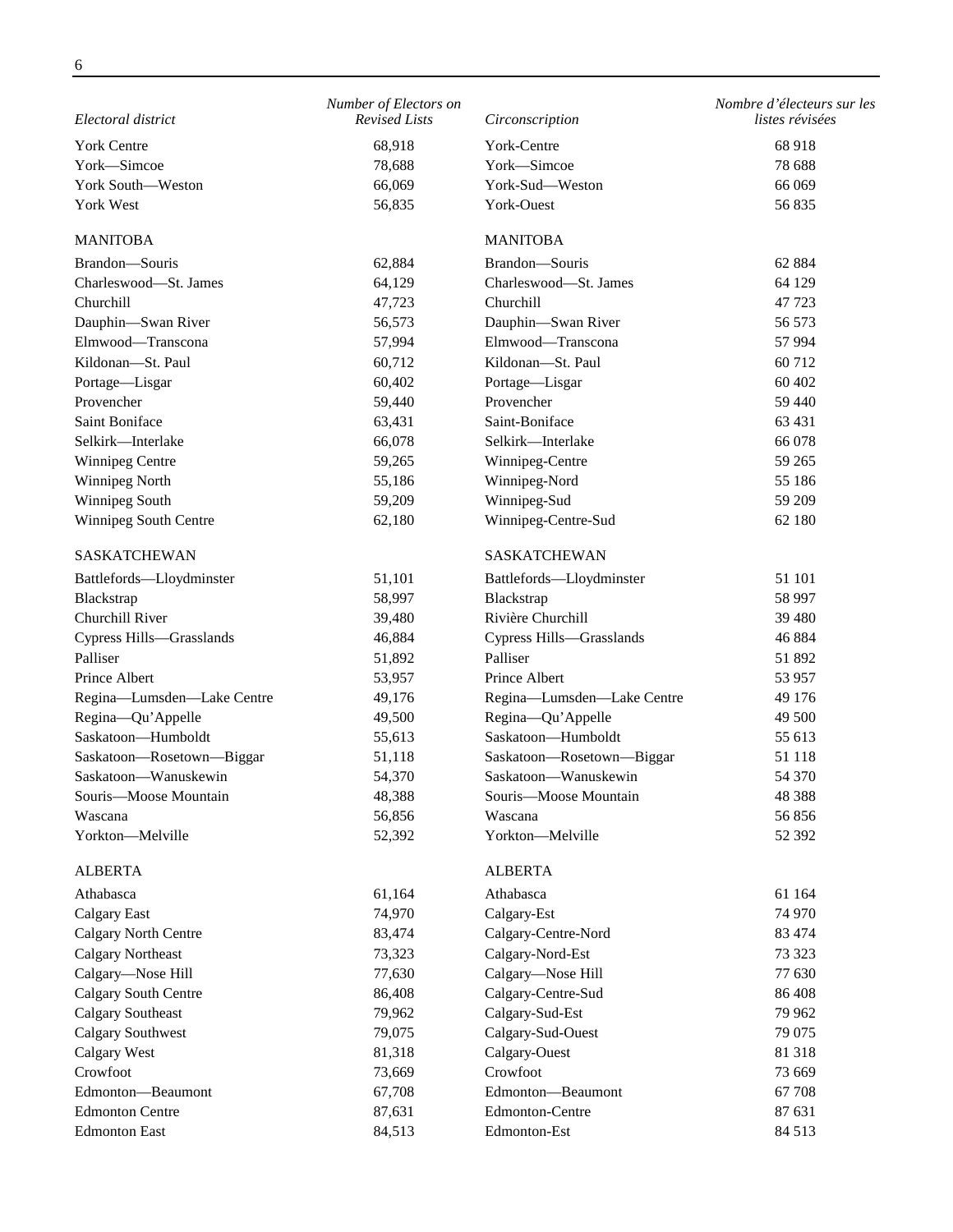| Electoral district          | Number of Electors on<br><b>Revised Lists</b> | Circonscription            | Nombre d'électeurs sur les<br>listes révisées |
|-----------------------------|-----------------------------------------------|----------------------------|-----------------------------------------------|
|                             |                                               |                            |                                               |
| <b>York Centre</b>          | 68,918                                        | York-Centre                | 68918                                         |
| York-Simcoe                 | 78,688                                        | York-Simcoe                | 78 688                                        |
| York South-Weston           | 66,069                                        | York-Sud-Weston            | 66 069                                        |
| York West                   | 56,835                                        | York-Ouest                 | 56835                                         |
| <b>MANITOBA</b>             |                                               | <b>MANITOBA</b>            |                                               |
| Brandon-Souris              | 62,884                                        | Brandon-Souris             | 62 8 84                                       |
| Charleswood-St. James       | 64,129                                        | Charleswood-St. James      | 64 129                                        |
| Churchill                   | 47,723                                        | Churchill                  | 47723                                         |
| Dauphin-Swan River          | 56,573                                        | Dauphin-Swan River         | 56 573                                        |
| Elmwood-Transcona           | 57,994                                        | Elmwood-Transcona          | 57 994                                        |
| Kildonan-St. Paul           | 60,712                                        | Kildonan-St. Paul          | 60712                                         |
| Portage-Lisgar              | 60,402                                        | Portage-Lisgar             | 60 402                                        |
| Provencher                  | 59,440                                        | Provencher                 | 59 440                                        |
| Saint Boniface              | 63,431                                        | Saint-Boniface             | 63 431                                        |
| Selkirk-Interlake           | 66,078                                        | Selkirk-Interlake          | 66 078                                        |
| Winnipeg Centre             | 59,265                                        | Winnipeg-Centre            | 59 265                                        |
| Winnipeg North              | 55,186                                        | Winnipeg-Nord              | 55 186                                        |
| Winnipeg South              | 59,209                                        | Winnipeg-Sud               | 59 209                                        |
| Winnipeg South Centre       | 62,180                                        | Winnipeg-Centre-Sud        | 62 180                                        |
| <b>SASKATCHEWAN</b>         |                                               | <b>SASKATCHEWAN</b>        |                                               |
| Battlefords-Lloydminster    | 51,101                                        | Battlefords-Lloydminster   | 51 101                                        |
| Blackstrap                  | 58,997                                        | Blackstrap                 | 58 997                                        |
| Churchill River             | 39,480                                        | Rivière Churchill          | 39 4 80                                       |
| Cypress Hills-Grasslands    | 46,884                                        | Cypress Hills-Grasslands   | 46 884                                        |
| Palliser                    | 51,892                                        | Palliser                   | 51 892                                        |
| Prince Albert               | 53,957                                        | Prince Albert              | 53 957                                        |
| Regina-Lumsden-Lake Centre  | 49,176                                        | Regina-Lumsden-Lake Centre | 49 176                                        |
| Regina-Qu'Appelle           | 49,500                                        | Regina-Qu'Appelle          | 49 500                                        |
| Saskatoon-Humboldt          | 55,613                                        | Saskatoon-Humboldt         | 55 613                                        |
| Saskatoon-Rosetown-Biggar   | 51,118                                        | Saskatoon-Rosetown-Biggar  | 51 118                                        |
| Saskatoon-Wanuskewin        | 54,370                                        | Saskatoon-Wanuskewin       | 54 370                                        |
| Souris-Moose Mountain       | 48,388                                        | Souris-Moose Mountain      | 48 388                                        |
| Wascana                     | 56,856                                        | Wascana                    | 56856                                         |
| Yorkton-Melville            | 52,392                                        | Yorkton-Melville           | 52 392                                        |
| <b>ALBERTA</b>              |                                               | <b>ALBERTA</b>             |                                               |
| Athabasca                   | 61,164                                        | Athabasca                  | 61 164                                        |
| <b>Calgary East</b>         | 74,970                                        | Calgary-Est                | 74 970                                        |
| <b>Calgary North Centre</b> | 83,474                                        | Calgary-Centre-Nord        | 83 474                                        |
| <b>Calgary Northeast</b>    | 73,323                                        | Calgary-Nord-Est           | 73 323                                        |
| Calgary-Nose Hill           | 77,630                                        | Calgary-Nose Hill          | 77 630                                        |
| Calgary South Centre        | 86,408                                        | Calgary-Centre-Sud         | 86 408                                        |
| <b>Calgary Southeast</b>    | 79,962                                        | Calgary-Sud-Est            | 79 962                                        |
| <b>Calgary Southwest</b>    | 79,075                                        | Calgary-Sud-Ouest          | 79 075                                        |
| <b>Calgary West</b>         | 81,318                                        | Calgary-Ouest              | 81 318                                        |
| Crowfoot                    | 73,669                                        | Crowfoot                   | 73 669                                        |
| Edmonton-Beaumont           | 67,708                                        | Edmonton-Beaumont          | 67 708                                        |
| <b>Edmonton Centre</b>      | 87,631                                        | <b>Edmonton-Centre</b>     | 87 631                                        |
| <b>Edmonton East</b>        | 84,513                                        | Edmonton-Est               | 84 513                                        |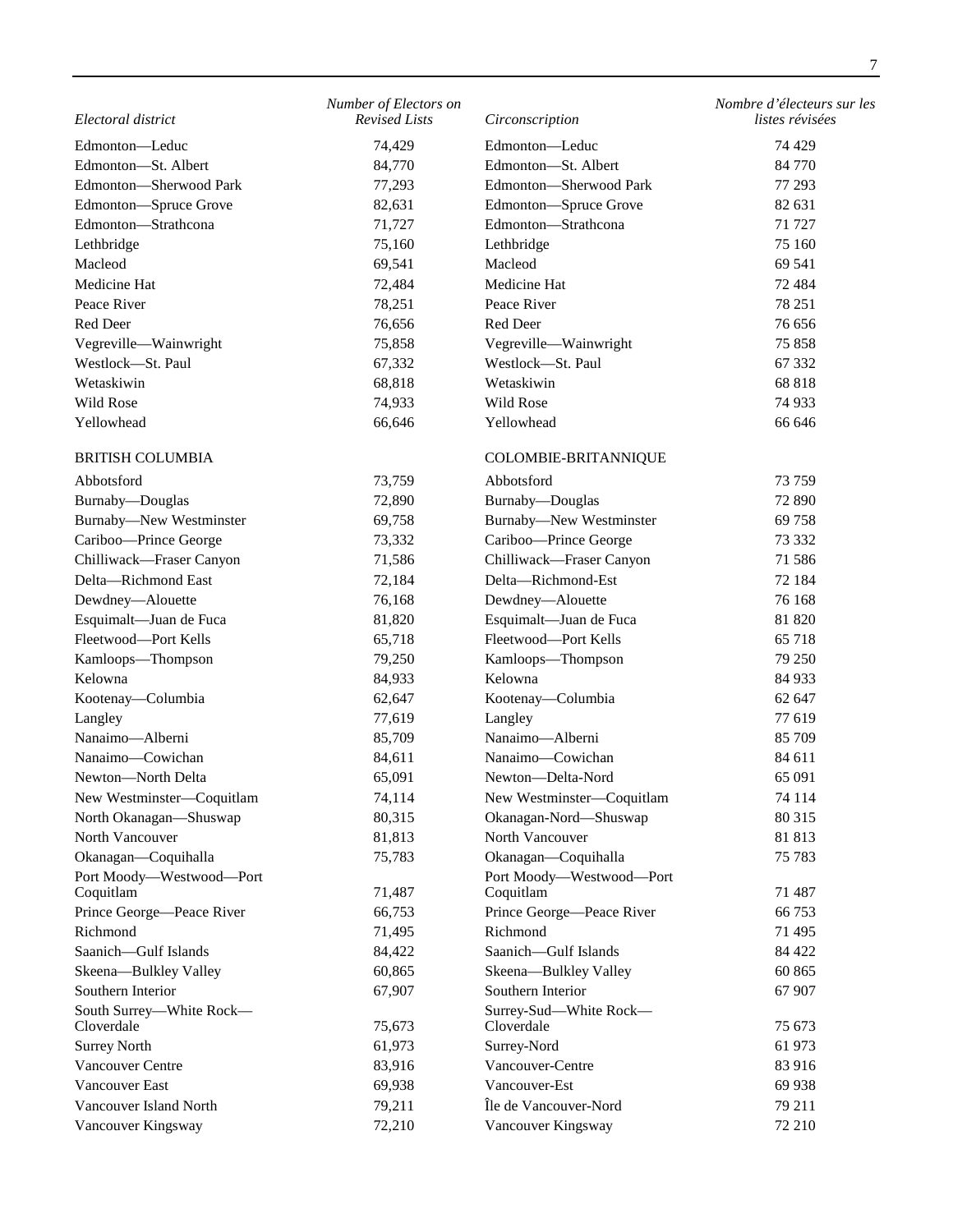| Electoral district                     | Number of Electors on<br><b>Revised Lists</b> | Circonscription                      | Nombre d'électeurs sur les<br>listes révisées |
|----------------------------------------|-----------------------------------------------|--------------------------------------|-----------------------------------------------|
| Edmonton-Leduc                         | 74,429                                        | Edmonton-Leduc                       | 74 4 29                                       |
| Edmonton-St. Albert                    | 84,770                                        | Edmonton-St. Albert                  | 84 770                                        |
| Edmonton-Sherwood Park                 | 77,293                                        | Edmonton-Sherwood Park               | 77 293                                        |
| Edmonton-Spruce Grove                  | 82,631                                        | Edmonton-Spruce Grove                | 82 631                                        |
| Edmonton-Strathcona                    | 71,727                                        | Edmonton-Strathcona                  | 71 727                                        |
| Lethbridge                             | 75,160                                        | Lethbridge                           | 75 160                                        |
| Macleod                                | 69,541                                        | Macleod                              | 69 541                                        |
| Medicine Hat                           | 72,484                                        | Medicine Hat                         | 72 4 8 4                                      |
| Peace River                            | 78,251                                        | Peace River                          | 78 251                                        |
| Red Deer                               | 76,656                                        | Red Deer                             | 76 656                                        |
| Vegreville-Wainwright                  | 75,858                                        | Vegreville-Wainwright                | 75 858                                        |
| Westlock-St. Paul                      | 67,332                                        | Westlock-St. Paul                    | 67 332                                        |
| Wetaskiwin                             | 68,818                                        | Wetaskiwin                           | 68 818                                        |
| Wild Rose                              | 74,933                                        | Wild Rose                            | 74 933                                        |
| Yellowhead                             | 66,646                                        | Yellowhead                           | 66 646                                        |
|                                        |                                               |                                      |                                               |
| <b>BRITISH COLUMBIA</b>                |                                               | COLOMBIE-BRITANNIQUE                 |                                               |
| Abbotsford                             | 73,759                                        | Abbotsford                           | 73 759                                        |
| Burnaby-Douglas                        | 72,890                                        | Burnaby-Douglas                      | 72 890                                        |
| Burnaby-New Westminster                | 69,758                                        | <b>Burnaby-New Westminster</b>       | 69 758                                        |
| Cariboo-Prince George                  | 73,332                                        | Cariboo-Prince George                | 73 332                                        |
| Chilliwack-Fraser Canyon               | 71,586                                        | Chilliwack-Fraser Canyon             | 71 586                                        |
| Delta-Richmond East                    | 72,184                                        | Delta-Richmond-Est                   | 72 184                                        |
| Dewdney-Alouette                       | 76,168                                        | Dewdney-Alouette                     | 76 168                                        |
| Esquimalt-Juan de Fuca                 | 81,820                                        | Esquimalt-Juan de Fuca               | 81 820                                        |
| Fleetwood-Port Kells                   | 65,718                                        | Fleetwood-Port Kells                 | 65718                                         |
| Kamloops-Thompson                      | 79,250                                        | Kamloops-Thompson                    | 79 250                                        |
| Kelowna                                | 84,933                                        | Kelowna                              | 84 933                                        |
| Kootenay-Columbia                      | 62,647                                        | Kootenay-Columbia                    | 62 647                                        |
| Langley                                | 77,619                                        | Langley                              | 77 619                                        |
| Nanaimo-Alberni                        | 85,709                                        | Nanaimo-Alberni                      | 85 709                                        |
| Nanaimo-Cowichan                       | 84,611                                        | Nanaimo-Cowichan                     | 84 611                                        |
| Newton-North Delta                     | 65,091                                        | Newton-Delta-Nord                    | 65 091                                        |
| New Westminster-Coquitlam              | 74,114                                        | New Westminster-Coquitlam            | 74 114                                        |
| North Okanagan-Shuswap                 | 80,315                                        | Okanagan-Nord-Shuswap                | 80 315                                        |
| North Vancouver                        | 81,813                                        | North Vancouver                      | 81813                                         |
| Okanagan-Coquihalla                    | 75,783                                        | Okanagan-Coquihalla                  | 75 783                                        |
| Port Moody-Westwood-Port               |                                               | Port Moody-Westwood-Port             |                                               |
| Coquitlam                              | 71,487                                        | Coquitlam                            | 71 487                                        |
| Prince George-Peace River              | 66,753                                        | Prince George-Peace River            | 66 753                                        |
| Richmond                               | 71,495                                        | Richmond                             | 71 495                                        |
| Saanich-Gulf Islands                   | 84,422                                        | Saanich-Gulf Islands                 | 84 422                                        |
| Skeena-Bulkley Valley                  | 60,865                                        | Skeena-Bulkley Valley                | 60 865                                        |
| Southern Interior                      | 67,907                                        | Southern Interior                    | 67 907                                        |
| South Surrey-White Rock-<br>Cloverdale | 75,673                                        | Surrey-Sud-White Rock-<br>Cloverdale | 75 673                                        |
| <b>Surrey North</b>                    | 61,973                                        | Surrey-Nord                          | 61 973                                        |
| Vancouver Centre                       | 83,916                                        | Vancouver-Centre                     | 83 916                                        |
| Vancouver East                         | 69,938                                        | Vancouver-Est                        | 69 938                                        |
| Vancouver Island North                 | 79,211                                        | Île de Vancouver-Nord                | 79 211                                        |
| Vancouver Kingsway                     | 72,210                                        | Vancouver Kingsway                   | 72 210                                        |
|                                        |                                               |                                      |                                               |